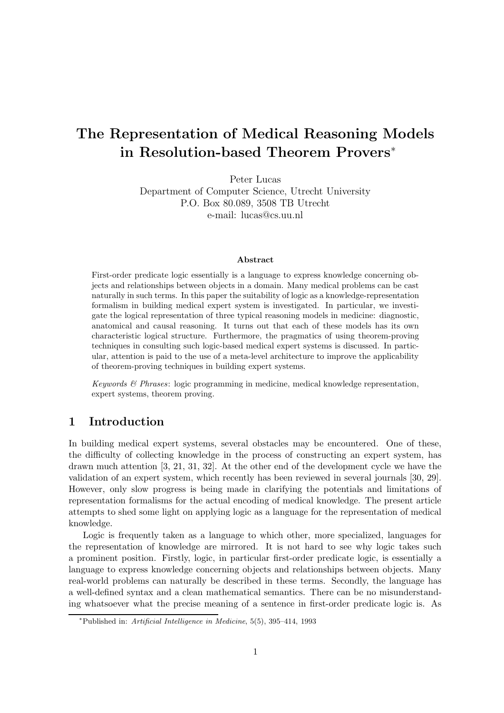# The Representation of Medical Reasoning Models in Resolution-based Theorem Provers<sup>∗</sup>

Peter Lucas Department of Computer Science, Utrecht University P.O. Box 80.089, 3508 TB Utrecht e-mail: lucas@cs.uu.nl

#### Abstract

First-order predicate logic essentially is a language to express knowledge concerning objects and relationships between objects in a domain. Many medical problems can be cast naturally in such terms. In this paper the suitability of logic as a knowledge-representation formalism in building medical expert system is investigated. In particular, we investigate the logical representation of three typical reasoning models in medicine: diagnostic, anatomical and causal reasoning. It turns out that each of these models has its own characteristic logical structure. Furthermore, the pragmatics of using theorem-proving techniques in consulting such logic-based medical expert systems is discussed. In particular, attention is paid to the use of a meta-level architecture to improve the applicability of theorem-proving techniques in building expert systems.

Keywords  $\mathcal{B}$  Phrases: logic programming in medicine, medical knowledge representation, expert systems, theorem proving.

# 1 Introduction

In building medical expert systems, several obstacles may be encountered. One of these, the difficulty of collecting knowledge in the process of constructing an expert system, has drawn much attention [3, 21, 31, 32]. At the other end of the development cycle we have the validation of an expert system, which recently has been reviewed in several journals [30, 29]. However, only slow progress is being made in clarifying the potentials and limitations of representation formalisms for the actual encoding of medical knowledge. The present article attempts to shed some light on applying logic as a language for the representation of medical knowledge.

Logic is frequently taken as a language to which other, more specialized, languages for the representation of knowledge are mirrored. It is not hard to see why logic takes such a prominent position. Firstly, logic, in particular first-order predicate logic, is essentially a language to express knowledge concerning objects and relationships between objects. Many real-world problems can naturally be described in these terms. Secondly, the language has a well-defined syntax and a clean mathematical semantics. There can be no misunderstanding whatsoever what the precise meaning of a sentence in first-order predicate logic is. As

<sup>∗</sup>Published in: Artificial Intelligence in Medicine, 5(5), 395–414, 1993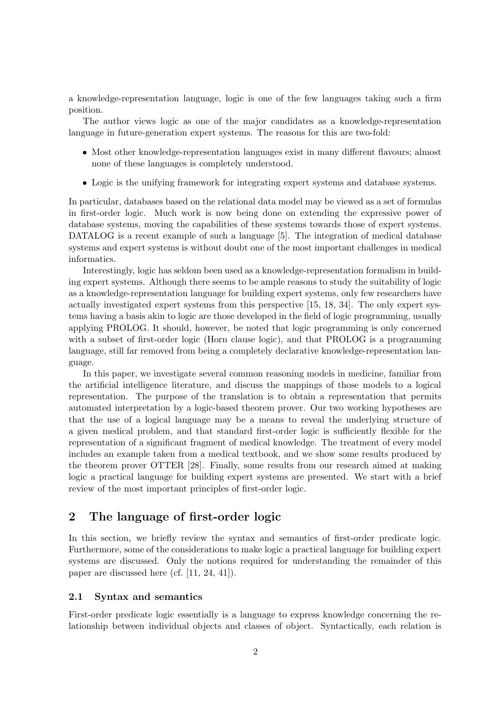a knowledge-representation language, logic is one of the few languages taking such a firm position.

The author views logic as one of the major candidates as a knowledge-representation language in future-generation expert systems. The reasons for this are two-fold:

- Most other knowledge-representation languages exist in many different flavours; almost none of these languages is completely understood.
- Logic is the unifying framework for integrating expert systems and database systems.

In particular, databases based on the relational data model may be viewed as a set of formulas in first-order logic. Much work is now being done on extending the expressive power of database systems, moving the capabilities of these systems towards those of expert systems. DATALOG is a recent example of such a language [5]. The integration of medical database systems and expert systems is without doubt one of the most important challenges in medical informatics.

Interestingly, logic has seldom been used as a knowledge-representation formalism in building expert systems. Although there seems to be ample reasons to study the suitability of logic as a knowledge-representation language for building expert systems, only few researchers have actually investigated expert systems from this perspective [15, 18, 34]. The only expert systems having a basis akin to logic are those developed in the field of logic programming, usually applying PROLOG. It should, however, be noted that logic programming is only concerned with a subset of first-order logic (Horn clause logic), and that PROLOG is a programming language, still far removed from being a completely declarative knowledge-representation language.

In this paper, we investigate several common reasoning models in medicine, familiar from the artificial intelligence literature, and discuss the mappings of those models to a logical representation. The purpose of the translation is to obtain a representation that permits automated interpretation by a logic-based theorem prover. Our two working hypotheses are that the use of a logical language may be a means to reveal the underlying structure of a given medical problem, and that standard first-order logic is sufficiently flexible for the representation of a significant fragment of medical knowledge. The treatment of every model includes an example taken from a medical textbook, and we show some results produced by the theorem prover OTTER [28]. Finally, some results from our research aimed at making logic a practical language for building expert systems are presented. We start with a brief review of the most important principles of first-order logic.

# 2 The language of first-order logic

In this section, we briefly review the syntax and semantics of first-order predicate logic. Furthermore, some of the considerations to make logic a practical language for building expert systems are discussed. Only the notions required for understanding the remainder of this paper are discussed here (cf. [11, 24, 41]).

### 2.1 Syntax and semantics

First-order predicate logic essentially is a language to express knowledge concerning the relationship between individual objects and classes of object. Syntactically, each relation is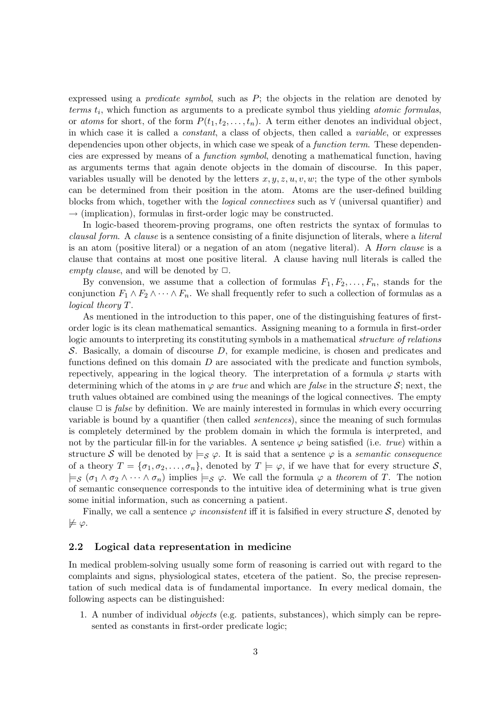expressed using a *predicate symbol*, such as  $P$ ; the objects in the relation are denoted by terms  $t_i$ , which function as arguments to a predicate symbol thus yielding *atomic formulas*, or atoms for short, of the form  $P(t_1, t_2, \ldots, t_n)$ . A term either denotes an individual object, in which case it is called a constant, a class of objects, then called a variable, or expresses dependencies upon other objects, in which case we speak of a *function term*. These dependencies are expressed by means of a function symbol, denoting a mathematical function, having as arguments terms that again denote objects in the domain of discourse. In this paper, variables usually will be denoted by the letters  $x, y, z, u, v, w$ ; the type of the other symbols can be determined from their position in the atom. Atoms are the user-defined building blocks from which, together with the *logical connectives* such as  $\forall$  (universal quantifier) and  $\rightarrow$  (implication), formulas in first-order logic may be constructed.

In logic-based theorem-proving programs, one often restricts the syntax of formulas to clausal form. A clause is a sentence consisting of a finite disjunction of literals, where a literal is an atom (positive literal) or a negation of an atom (negative literal). A Horn clause is a clause that contains at most one positive literal. A clause having null literals is called the empty clause, and will be denoted by  $\Box$ .

By convension, we assume that a collection of formulas  $F_1, F_2, \ldots, F_n$ , stands for the conjunction  $F_1 \wedge F_2 \wedge \cdots \wedge F_n$ . We shall frequently refer to such a collection of formulas as a logical theory T.

As mentioned in the introduction to this paper, one of the distinguishing features of firstorder logic is its clean mathematical semantics. Assigning meaning to a formula in first-order logic amounts to interpreting its constituting symbols in a mathematical structure of relations S. Basically, a domain of discourse D, for example medicine, is chosen and predicates and functions defined on this domain  $D$  are associated with the predicate and function symbols, repectively, appearing in the logical theory. The interpretation of a formula  $\varphi$  starts with determining which of the atoms in  $\varphi$  are true and which are false in the structure  $\mathcal{S}$ ; next, the truth values obtained are combined using the meanings of the logical connectives. The empty clause  $\Box$  is *false* by definition. We are mainly interested in formulas in which every occurring variable is bound by a quantifier (then called sentences), since the meaning of such formulas is completely determined by the problem domain in which the formula is interpreted, and not by the particular fill-in for the variables. A sentence  $\varphi$  being satisfied (i.e. true) within a structure S will be denoted by  $\models_{\mathcal{S}} \varphi$ . It is said that a sentence  $\varphi$  is a semantic consequence of a theory  $T = {\sigma_1, \sigma_2, ..., \sigma_n}$ , denoted by  $T \models \varphi$ , if we have that for every structure S,  $\models_S (\sigma_1 \land \sigma_2 \land \cdots \land \sigma_n)$  implies  $\models_S \varphi$ . We call the formula  $\varphi$  a theorem of T. The notion of semantic consequence corresponds to the intuitive idea of determining what is true given some initial information, such as concerning a patient.

Finally, we call a sentence  $\varphi$  inconsistent iff it is falsified in every structure  $\mathcal{S}$ , denoted by  $\not\models \varphi.$ 

### 2.2 Logical data representation in medicine

In medical problem-solving usually some form of reasoning is carried out with regard to the complaints and signs, physiological states, etcetera of the patient. So, the precise representation of such medical data is of fundamental importance. In every medical domain, the following aspects can be distinguished:

1. A number of individual objects (e.g. patients, substances), which simply can be represented as constants in first-order predicate logic;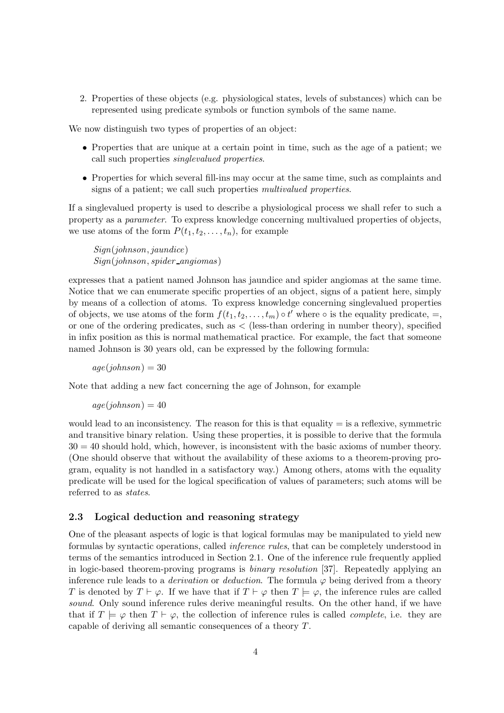2. Properties of these objects (e.g. physiological states, levels of substances) which can be represented using predicate symbols or function symbols of the same name.

We now distinguish two types of properties of an object:

- Properties that are unique at a certain point in time, such as the age of a patient; we call such properties singlevalued properties.
- Properties for which several fill-ins may occur at the same time, such as complaints and signs of a patient; we call such properties multivalued properties.

If a singlevalued property is used to describe a physiological process we shall refer to such a property as a parameter. To express knowledge concerning multivalued properties of objects, we use atoms of the form  $P(t_1, t_2, \ldots, t_n)$ , for example

Sign(johnson, jaundice)  $Sign(johnson, spider\_angiomas)$ 

expresses that a patient named Johnson has jaundice and spider angiomas at the same time. Notice that we can enumerate specific properties of an object, signs of a patient here, simply by means of a collection of atoms. To express knowledge concerning singlevalued properties of objects, we use atoms of the form  $f(t_1, t_2, \ldots, t_m) \circ t'$  where  $\circ$  is the equality predicate,  $=$ , or one of the ordering predicates, such as < (less-than ordering in number theory), specified in infix position as this is normal mathematical practice. For example, the fact that someone named Johnson is 30 years old, can be expressed by the following formula:

 $age(*ionnson*) = 30$ 

Note that adding a new fact concerning the age of Johnson, for example

 $age(*ionnson*) = 40$ 

would lead to an inconsistency. The reason for this is that equality  $=$  is a reflexive, symmetric and transitive binary relation. Using these properties, it is possible to derive that the formula  $30 = 40$  should hold, which, however, is inconsistent with the basic axioms of number theory. (One should observe that without the availability of these axioms to a theorem-proving program, equality is not handled in a satisfactory way.) Among others, atoms with the equality predicate will be used for the logical specification of values of parameters; such atoms will be referred to as states.

### 2.3 Logical deduction and reasoning strategy

One of the pleasant aspects of logic is that logical formulas may be manipulated to yield new formulas by syntactic operations, called inference rules, that can be completely understood in terms of the semantics introduced in Section 2.1. One of the inference rule frequently applied in logic-based theorem-proving programs is binary resolution [37]. Repeatedly applying an inference rule leads to a *derivation* or *deduction*. The formula  $\varphi$  being derived from a theory T is denoted by  $T \vdash \varphi$ . If we have that if  $T \vdash \varphi$  then  $T \models \varphi$ , the inference rules are called sound. Only sound inference rules derive meaningful results. On the other hand, if we have that if  $T \models \varphi$  then  $T \vdash \varphi$ , the collection of inference rules is called *complete*, i.e. they are capable of deriving all semantic consequences of a theory T.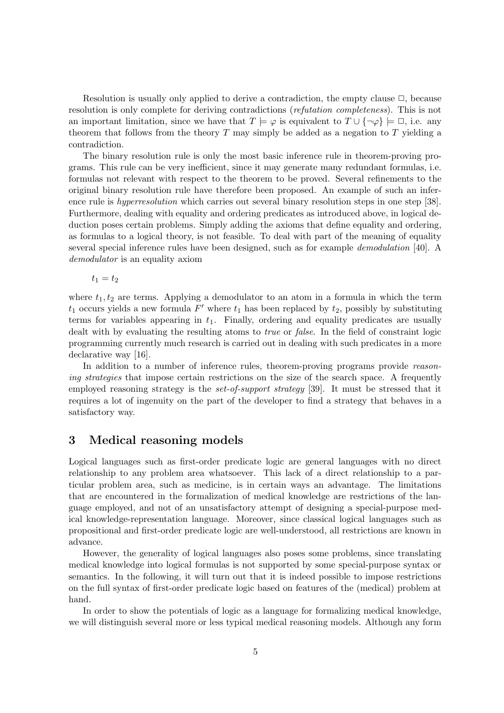Resolution is usually only applied to derive a contradiction, the empty clause  $\Box$ , because resolution is only complete for deriving contradictions (refutation completeness). This is not an important limitation, since we have that  $T \models \varphi$  is equivalent to  $T \cup {\neg \varphi} \models \Box$ , i.e. any theorem that follows from the theory  $T$  may simply be added as a negation to  $T$  yielding a contradiction.

The binary resolution rule is only the most basic inference rule in theorem-proving programs. This rule can be very inefficient, since it may generate many redundant formulas, i.e. formulas not relevant with respect to the theorem to be proved. Several refinements to the original binary resolution rule have therefore been proposed. An example of such an inference rule is *hyperresolution* which carries out several binary resolution steps in one step [38]. Furthermore, dealing with equality and ordering predicates as introduced above, in logical deduction poses certain problems. Simply adding the axioms that define equality and ordering, as formulas to a logical theory, is not feasible. To deal with part of the meaning of equality several special inference rules have been designed, such as for example demodulation [40]. A demodulator is an equality axiom

 $t_1 = t_2$ 

where  $t_1, t_2$  are terms. Applying a demodulator to an atom in a formula in which the term  $t_1$  occurs yields a new formula  $F'$  where  $t_1$  has been replaced by  $t_2$ , possibly by substituting terms for variables appearing in  $t_1$ . Finally, ordering and equality predicates are usually dealt with by evaluating the resulting atoms to *true* or *false*. In the field of constraint logic programming currently much research is carried out in dealing with such predicates in a more declarative way [16].

In addition to a number of inference rules, theorem-proving programs provide reasoning strategies that impose certain restrictions on the size of the search space. A frequently employed reasoning strategy is the *set-of-support strategy* [39]. It must be stressed that it requires a lot of ingenuity on the part of the developer to find a strategy that behaves in a satisfactory way.

### 3 Medical reasoning models

Logical languages such as first-order predicate logic are general languages with no direct relationship to any problem area whatsoever. This lack of a direct relationship to a particular problem area, such as medicine, is in certain ways an advantage. The limitations that are encountered in the formalization of medical knowledge are restrictions of the language employed, and not of an unsatisfactory attempt of designing a special-purpose medical knowledge-representation language. Moreover, since classical logical languages such as propositional and first-order predicate logic are well-understood, all restrictions are known in advance.

However, the generality of logical languages also poses some problems, since translating medical knowledge into logical formulas is not supported by some special-purpose syntax or semantics. In the following, it will turn out that it is indeed possible to impose restrictions on the full syntax of first-order predicate logic based on features of the (medical) problem at hand.

In order to show the potentials of logic as a language for formalizing medical knowledge, we will distinguish several more or less typical medical reasoning models. Although any form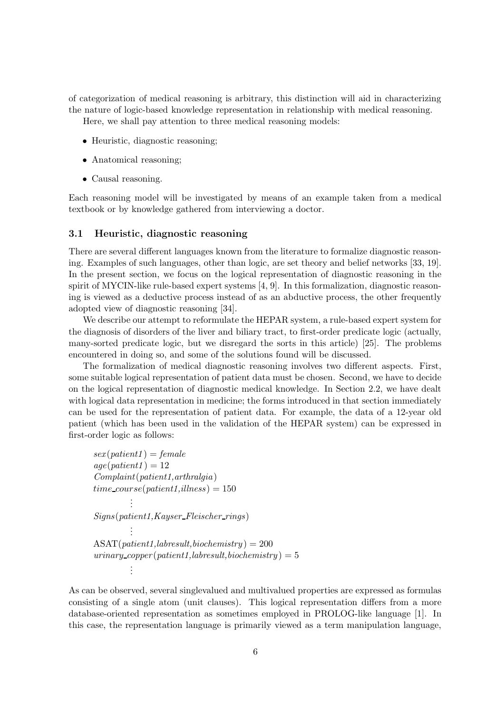of categorization of medical reasoning is arbitrary, this distinction will aid in characterizing the nature of logic-based knowledge representation in relationship with medical reasoning. Here, we shall pay attention to three medical reasoning models:

- Heuristic, diagnostic reasoning;
- Anatomical reasoning;
- Causal reasoning.

Each reasoning model will be investigated by means of an example taken from a medical textbook or by knowledge gathered from interviewing a doctor.

### 3.1 Heuristic, diagnostic reasoning

There are several different languages known from the literature to formalize diagnostic reasoning. Examples of such languages, other than logic, are set theory and belief networks [33, 19]. In the present section, we focus on the logical representation of diagnostic reasoning in the spirit of MYCIN-like rule-based expert systems [4, 9]. In this formalization, diagnostic reasoning is viewed as a deductive process instead of as an abductive process, the other frequently adopted view of diagnostic reasoning [34].

We describe our attempt to reformulate the HEPAR system, a rule-based expert system for the diagnosis of disorders of the liver and biliary tract, to first-order predicate logic (actually, many-sorted predicate logic, but we disregard the sorts in this article) [25]. The problems encountered in doing so, and some of the solutions found will be discussed.

The formalization of medical diagnostic reasoning involves two different aspects. First, some suitable logical representation of patient data must be chosen. Second, we have to decide on the logical representation of diagnostic medical knowledge. In Section 2.2, we have dealt with logical data representation in medicine; the forms introduced in that section immediately can be used for the representation of patient data. For example, the data of a 12-year old patient (which has been used in the validation of the HEPAR system) can be expressed in first-order logic as follows:

```
sex(path1) = femaleage(patient1) = 12Complaint(path1,arthralgia)time\_course(path1, illness) = 150.
         .
         .
Signs(patient1,Kayser Fleischer rings)
         .
         .
         .
ASAT(patient1,labresult,biochemistry) = 200urinary\_copper(path1, labelsult, biochemistry) = 5.
         .
         .
```
As can be observed, several singlevalued and multivalued properties are expressed as formulas consisting of a single atom (unit clauses). This logical representation differs from a more database-oriented representation as sometimes employed in PROLOG-like language [1]. In this case, the representation language is primarily viewed as a term manipulation language,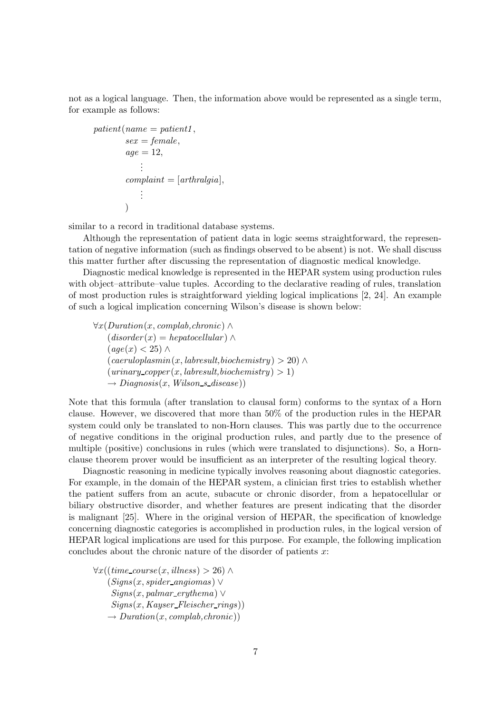not as a logical language. Then, the information above would be represented as a single term, for example as follows:

```
patient(name = patient1,sex = female,age = 12,.
             .
             .
         complain t = [arthralgia],.
             .
             .
         \lambda
```
similar to a record in traditional database systems.

Although the representation of patient data in logic seems straightforward, the representation of negative information (such as findings observed to be absent) is not. We shall discuss this matter further after discussing the representation of diagnostic medical knowledge.

Diagnostic medical knowledge is represented in the HEPAR system using production rules with object–attribute–value tuples. According to the declarative reading of rules, translation of most production rules is straightforward yielding logical implications [2, 24]. An example of such a logical implication concerning Wilson's disease is shown below:

 $\forall x(Duration(x, complab, chronic) \wedge$  $(disorder(x) = hepatocellular) \wedge$  $(aqe(x) < 25)$  ∧  $(caeruloplasmin(x, labresult, biochemistry) > 20) \wedge$  $(uninary\_copper(x, labelsult, biochemistry) > 1)$  $\rightarrow Diagnosis(x, Wilson\_s\_disease))$ 

Note that this formula (after translation to clausal form) conforms to the syntax of a Horn clause. However, we discovered that more than 50% of the production rules in the HEPAR system could only be translated to non-Horn clauses. This was partly due to the occurrence of negative conditions in the original production rules, and partly due to the presence of multiple (positive) conclusions in rules (which were translated to disjunctions). So, a Hornclause theorem prover would be insufficient as an interpreter of the resulting logical theory.

Diagnostic reasoning in medicine typically involves reasoning about diagnostic categories. For example, in the domain of the HEPAR system, a clinician first tries to establish whether the patient suffers from an acute, subacute or chronic disorder, from a hepatocellular or biliary obstructive disorder, and whether features are present indicating that the disorder is malignant [25]. Where in the original version of HEPAR, the specification of knowledge concerning diagnostic categories is accomplished in production rules, in the logical version of HEPAR logical implications are used for this purpose. For example, the following implication concludes about the chronic nature of the disorder of patients  $x$ :

 $\forall x ((time\_course(x, illness) > 26) \land$  $(Signs(x, spider\_angiomas) \vee$  $Signs(x, palmar\_erythema)$  ∨  $Signs(x, Kayser_{\textit{Fleischer\_rings}))$  $\rightarrow$  Duration(x, complab, chronic))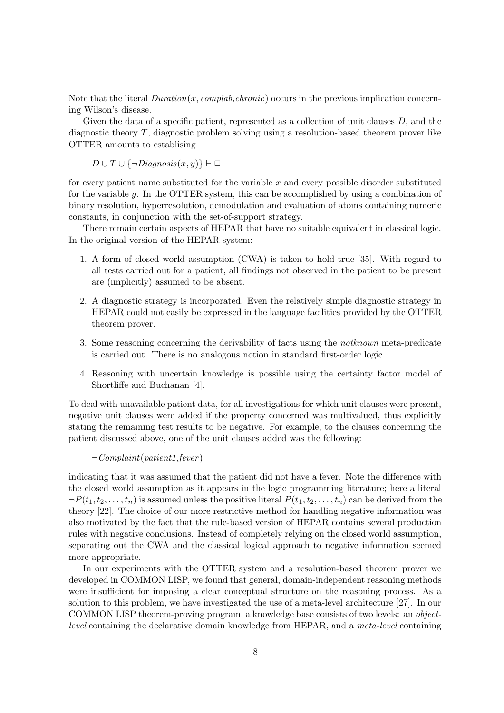Note that the literal  $Duration(x, complab, chronic)$  occurs in the previous implication concerning Wilson's disease.

Given the data of a specific patient, represented as a collection of unit clauses  $D$ , and the diagnostic theory T, diagnostic problem solving using a resolution-based theorem prover like OTTER amounts to establising

 $D \cup T \cup {\neg Diagnosis(x, y)} \vdash \Box$ 

for every patient name substituted for the variable  $x$  and every possible disorder substituted for the variable y. In the OTTER system, this can be accomplished by using a combination of binary resolution, hyperresolution, demodulation and evaluation of atoms containing numeric constants, in conjunction with the set-of-support strategy.

There remain certain aspects of HEPAR that have no suitable equivalent in classical logic. In the original version of the HEPAR system:

- 1. A form of closed world assumption (CWA) is taken to hold true [35]. With regard to all tests carried out for a patient, all findings not observed in the patient to be present are (implicitly) assumed to be absent.
- 2. A diagnostic strategy is incorporated. Even the relatively simple diagnostic strategy in HEPAR could not easily be expressed in the language facilities provided by the OTTER theorem prover.
- 3. Some reasoning concerning the derivability of facts using the notknown meta-predicate is carried out. There is no analogous notion in standard first-order logic.
- 4. Reasoning with uncertain knowledge is possible using the certainty factor model of Shortliffe and Buchanan [4].

To deal with unavailable patient data, for all investigations for which unit clauses were present, negative unit clauses were added if the property concerned was multivalued, thus explicitly stating the remaining test results to be negative. For example, to the clauses concerning the patient discussed above, one of the unit clauses added was the following:

 $\neg Complant(patient1,fever)$ 

indicating that it was assumed that the patient did not have a fever. Note the difference with the closed world assumption as it appears in the logic programming literature; here a literal  $\neg P(t_1,t_2,\ldots,t_n)$  is assumed unless the positive literal  $P(t_1,t_2,\ldots,t_n)$  can be derived from the theory [22]. The choice of our more restrictive method for handling negative information was also motivated by the fact that the rule-based version of HEPAR contains several production rules with negative conclusions. Instead of completely relying on the closed world assumption, separating out the CWA and the classical logical approach to negative information seemed more appropriate.

In our experiments with the OTTER system and a resolution-based theorem prover we developed in COMMON LISP, we found that general, domain-independent reasoning methods were insufficient for imposing a clear conceptual structure on the reasoning process. As a solution to this problem, we have investigated the use of a meta-level architecture [27]. In our COMMON LISP theorem-proving program, a knowledge base consists of two levels: an objectlevel containing the declarative domain knowledge from HEPAR, and a meta-level containing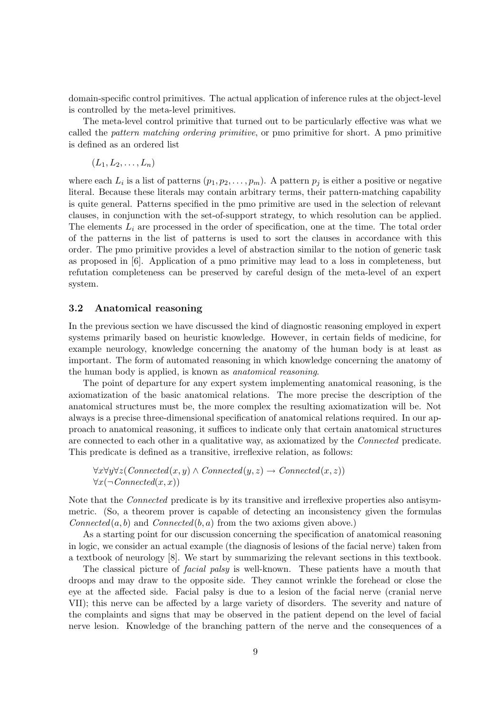domain-specific control primitives. The actual application of inference rules at the object-level is controlled by the meta-level primitives.

The meta-level control primitive that turned out to be particularly effective was what we called the pattern matching ordering primitive, or pmo primitive for short. A pmo primitive is defined as an ordered list

$$
(L_1, L_2, \ldots, L_n)
$$

where each  $L_i$  is a list of patterns  $(p_1, p_2, \ldots, p_m)$ . A pattern  $p_j$  is either a positive or negative literal. Because these literals may contain arbitrary terms, their pattern-matching capability is quite general. Patterns specified in the pmo primitive are used in the selection of relevant clauses, in conjunction with the set-of-support strategy, to which resolution can be applied. The elements  $L_i$  are processed in the order of specification, one at the time. The total order of the patterns in the list of patterns is used to sort the clauses in accordance with this order. The pmo primitive provides a level of abstraction similar to the notion of generic task as proposed in [6]. Application of a pmo primitive may lead to a loss in completeness, but refutation completeness can be preserved by careful design of the meta-level of an expert system.

#### 3.2 Anatomical reasoning

In the previous section we have discussed the kind of diagnostic reasoning employed in expert systems primarily based on heuristic knowledge. However, in certain fields of medicine, for example neurology, knowledge concerning the anatomy of the human body is at least as important. The form of automated reasoning in which knowledge concerning the anatomy of the human body is applied, is known as anatomical reasoning.

The point of departure for any expert system implementing anatomical reasoning, is the axiomatization of the basic anatomical relations. The more precise the description of the anatomical structures must be, the more complex the resulting axiomatization will be. Not always is a precise three-dimensional specification of anatomical relations required. In our approach to anatomical reasoning, it suffices to indicate only that certain anatomical structures are connected to each other in a qualitative way, as axiomatized by the Connected predicate. This predicate is defined as a transitive, irreflexive relation, as follows:

 $\forall x \forall y \forall z (Connected(x, y) \land Connected(y, z) \rightarrow Connected(x, z))$  $\forall x (\neg Connected(x, x))$ 

Note that the *Connected* predicate is by its transitive and irreflexive properties also antisymmetric. (So, a theorem prover is capable of detecting an inconsistency given the formulas  $Connected(a, b)$  and  $Connected(b, a)$  from the two axioms given above.)

As a starting point for our discussion concerning the specification of anatomical reasoning in logic, we consider an actual example (the diagnosis of lesions of the facial nerve) taken from a textbook of neurology [8]. We start by summarizing the relevant sections in this textbook.

The classical picture of facial palsy is well-known. These patients have a mouth that droops and may draw to the opposite side. They cannot wrinkle the forehead or close the eye at the affected side. Facial palsy is due to a lesion of the facial nerve (cranial nerve VII); this nerve can be affected by a large variety of disorders. The severity and nature of the complaints and signs that may be observed in the patient depend on the level of facial nerve lesion. Knowledge of the branching pattern of the nerve and the consequences of a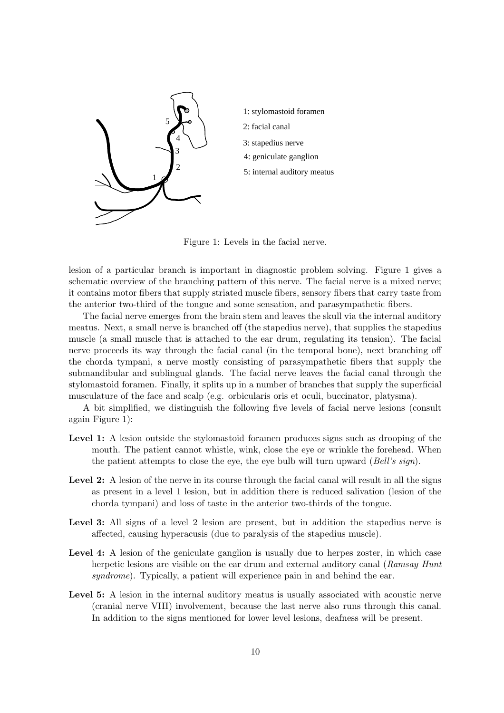

- 1: stylomastoid foramen
- 3: stapedius nerve
- 4: geniculate ganglion
- 5: internal auditory meatus

Figure 1: Levels in the facial nerve.

lesion of a particular branch is important in diagnostic problem solving. Figure 1 gives a schematic overview of the branching pattern of this nerve. The facial nerve is a mixed nerve; it contains motor fibers that supply striated muscle fibers, sensory fibers that carry taste from the anterior two-third of the tongue and some sensation, and parasympathetic fibers.

The facial nerve emerges from the brain stem and leaves the skull via the internal auditory meatus. Next, a small nerve is branched off (the stapedius nerve), that supplies the stapedius muscle (a small muscle that is attached to the ear drum, regulating its tension). The facial nerve proceeds its way through the facial canal (in the temporal bone), next branching off the chorda tympani, a nerve mostly consisting of parasympathetic fibers that supply the submandibular and sublingual glands. The facial nerve leaves the facial canal through the stylomastoid foramen. Finally, it splits up in a number of branches that supply the superficial musculature of the face and scalp (e.g. orbicularis oris et oculi, buccinator, platysma).

A bit simplified, we distinguish the following five levels of facial nerve lesions (consult again Figure 1):

- Level 1: A lesion outside the stylomastoid foramen produces signs such as drooping of the mouth. The patient cannot whistle, wink, close the eye or wrinkle the forehead. When the patient attempts to close the eye, the eye bulb will turn upward  $(Bell's sign)$ .
- Level 2: A lesion of the nerve in its course through the facial canal will result in all the signs as present in a level 1 lesion, but in addition there is reduced salivation (lesion of the chorda tympani) and loss of taste in the anterior two-thirds of the tongue.
- Level 3: All signs of a level 2 lesion are present, but in addition the stapedius nerve is affected, causing hyperacusis (due to paralysis of the stapedius muscle).
- Level 4: A lesion of the geniculate ganglion is usually due to herpes zoster, in which case herpetic lesions are visible on the ear drum and external auditory canal (Ramsay Hunt syndrome). Typically, a patient will experience pain in and behind the ear.
- Level 5: A lesion in the internal auditory meatus is usually associated with acoustic nerve (cranial nerve VIII) involvement, because the last nerve also runs through this canal. In addition to the signs mentioned for lower level lesions, deafness will be present.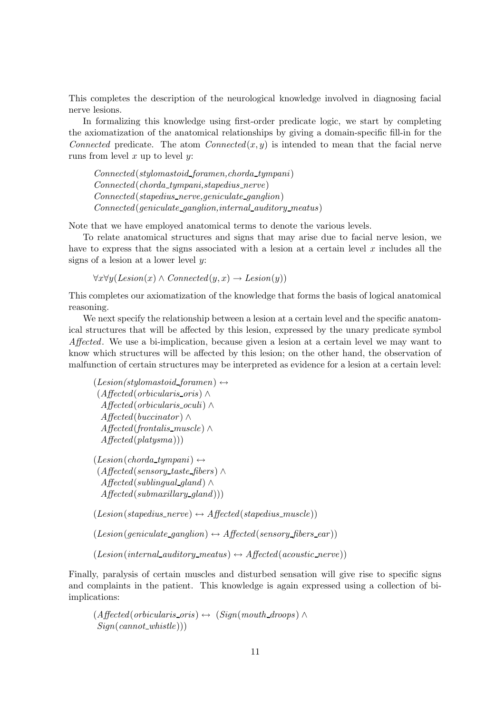This completes the description of the neurological knowledge involved in diagnosing facial nerve lesions.

In formalizing this knowledge using first-order predicate logic, we start by completing the axiomatization of the anatomical relationships by giving a domain-specific fill-in for the Connected predicate. The atom Connected $(x, y)$  is intended to mean that the facial nerve runs from level  $x$  up to level  $y$ :

Connected(stylomastoid foramen,chorda tympani) Connected(chorda tympani,stapedius nerve) Connected(stapedius nerve,geniculate ganglion) Connected(geniculate ganglion,internal auditory meatus)

Note that we have employed anatomical terms to denote the various levels.

To relate anatomical structures and signs that may arise due to facial nerve lesion, we have to express that the signs associated with a lesion at a certain level x includes all the signs of a lesion at a lower level  $y$ :

 $\forall x \forall y (Lesion(x) \land Connected(y, x) \rightarrow Lesion(y))$ 

This completes our axiomatization of the knowledge that forms the basis of logical anatomical reasoning.

We next specify the relationship between a lesion at a certain level and the specific anatomical structures that will be affected by this lesion, expressed by the unary predicate symbol Affected. We use a bi-implication, because given a lesion at a certain level we may want to know which structures will be affected by this lesion; on the other hand, the observation of malfunction of certain structures may be interpreted as evidence for a lesion at a certain level:

```
(Lesion/stylomastoid_foramen) \leftrightarrow(Affected(orbicularis oris) ∧
  Affected(orbicularis oculi) ∧
  A \text{ffected}(buccinator) \wedgeAffected(frontalis muscle) ∧
  A \text{ffected}(platysma))
```

```
(Lesion(chorda_tympani) \leftrightarrow(Affected(sensory taste fibers) ∧
  Affected(sublingual gland) ∧
  A \text{ffected}(submaxillary\_qland))
```
 $(Lesion (stapedius\_nerve) \leftrightarrow Affected (stapedius\_muscle))$ 

 $(Lesion(qeniculate\_qanglion) \leftrightarrow Affected(sensory_{fibers\_ear))$ 

 $(Lesion (internal\_auditory\_meatus) \leftrightarrow Affected (acoustic\_nerve))$ 

Finally, paralysis of certain muscles and disturbed sensation will give rise to specific signs and complaints in the patient. This knowledge is again expressed using a collection of biimplications:

```
(A \text{ffected}(orbicularis\_oris) \leftrightarrow (Sign(mouth\_drops) \wedgeSign(cannot\_whistle))
```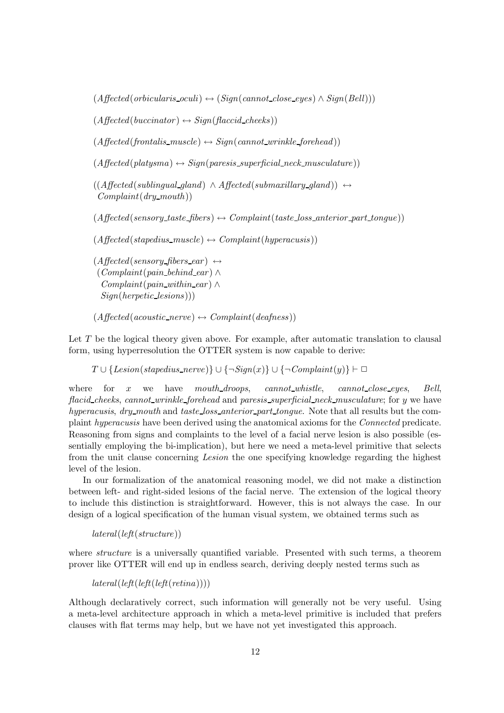$(Affected(orbicularis_oculi) \leftrightarrow (Sign(cannot\_close_eyes) \land Sign(Bell)))$ 

 $(A \text{ffected}(buccinator) \leftrightarrow \text{Sign}(\text{faccid\_cheeks}))$ 

 $(Affected (frontalis_muscle) \leftrightarrow Sign(cannot\_wrinkle_forehead))$ 

 $(Affected(platysma) \leftrightarrow Sign(paresis\_superficial\_neck\_musculature))$ 

```
((A \text{ffected}(sublingual\text{-}gland) \wedge A \text{ffected}(submaxillary\text{-}gland)) \leftrightarrowComplant(dry\_mouth)
```
 $(Aflected(sensory\_taste_fibers) \leftrightarrow Complain(taste\_loss\_anterior\_part\_tongue))$ 

 $(Aflected(stapedius_muscle) \leftrightarrow Complain(thyperacusis))$ 

 $(A \text{ffected}(sensory\text{fibers\_ear}) \leftrightarrow$  $(Complant(pain\_behind\_ear) \wedge$  $Complant(vain\_within\_ear) \wedge$ Sign(herpetic lesions)))

 $(Aflected(acoustic\_nerve) \leftrightarrow Complaint(deafness))$ 

Let  $T$  be the logical theory given above. For example, after automatic translation to clausal form, using hyperresolution the OTTER system is now capable to derive:

 $T \cup \{Lesion(stapedius\_nerve)\} \cup \{\neg Sign(x)\} \cup \{\neg Complain(y)\}\vdash \Box$ 

where for x we have mouth\_droops, cannot\_whistle, cannot\_close\_eyes, Bell, flacid cheeks, cannot wrinkle forehead and paresis superficial neck musculature; for y we have hyperacusis, dry mouth and taste loss anterior part tongue. Note that all results but the complaint hyperacusis have been derived using the anatomical axioms for the Connected predicate. Reasoning from signs and complaints to the level of a facial nerve lesion is also possible (essentially employing the bi-implication), but here we need a meta-level primitive that selects from the unit clause concerning Lesion the one specifying knowledge regarding the highest level of the lesion.

In our formalization of the anatomical reasoning model, we did not make a distinction between left- and right-sided lesions of the facial nerve. The extension of the logical theory to include this distinction is straightforward. However, this is not always the case. In our design of a logical specification of the human visual system, we obtained terms such as

 $\textit{lateral}(\textit{left}(\textit{structure}))$ 

where *structure* is a universally quantified variable. Presented with such terms, a theorem prover like OTTER will end up in endless search, deriving deeply nested terms such as

 $\textit{lateral}(\textit{left}(\textit{left}(\textit{reft}(\textit{refina}))))$ 

Although declaratively correct, such information will generally not be very useful. Using a meta-level architecture approach in which a meta-level primitive is included that prefers clauses with flat terms may help, but we have not yet investigated this approach.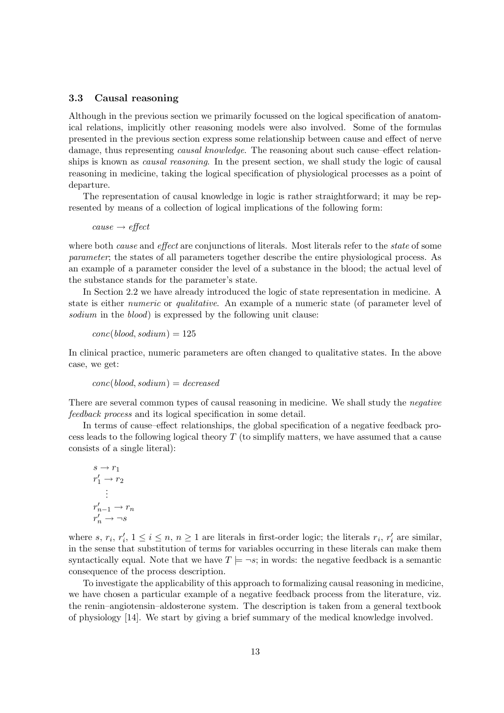### 3.3 Causal reasoning

Although in the previous section we primarily focussed on the logical specification of anatomical relations, implicitly other reasoning models were also involved. Some of the formulas presented in the previous section express some relationship between cause and effect of nerve damage, thus representing *causal knowledge*. The reasoning about such cause–effect relationships is known as *causal reasoning*. In the present section, we shall study the logic of causal reasoning in medicine, taking the logical specification of physiological processes as a point of departure.

The representation of causal knowledge in logic is rather straightforward; it may be represented by means of a collection of logical implications of the following form:

 $cause \rightarrow effect$ 

where both *cause* and *effect* are conjunctions of literals. Most literals refer to the *state* of some parameter; the states of all parameters together describe the entire physiological process. As an example of a parameter consider the level of a substance in the blood; the actual level of the substance stands for the parameter's state.

In Section 2.2 we have already introduced the logic of state representation in medicine. A state is either numeric or qualitative. An example of a numeric state (of parameter level of sodium in the blood) is expressed by the following unit clause:

 $conc(blood, sodium) = 125$ 

In clinical practice, numeric parameters are often changed to qualitative states. In the above case, we get:

 $conc(blood, sodium) = decreased$ 

There are several common types of causal reasoning in medicine. We shall study the *negative* feedback process and its logical specification in some detail.

In terms of cause–effect relationships, the global specification of a negative feedback process leads to the following logical theory T (to simplify matters, we have assumed that a cause consists of a single literal):

$$
s \to r_1
$$
  
\n
$$
r'_1 \to r_2
$$
  
\n
$$
\vdots
$$
  
\n
$$
r'_{n-1} \to r_n
$$
  
\n
$$
r'_n \to \neg s
$$

where  $s, r_i, r'_i$  $i, 1 \leq i \leq n, n \geq 1$  are literals in first-order logic; the literals  $r_i, r'_i$  $i$  are similar, in the sense that substitution of terms for variables occurring in these literals can make them syntactically equal. Note that we have  $T \models \neg s$ ; in words: the negative feedback is a semantic consequence of the process description.

To investigate the applicability of this approach to formalizing causal reasoning in medicine, we have chosen a particular example of a negative feedback process from the literature, viz. the renin–angiotensin–aldosterone system. The description is taken from a general textbook of physiology [14]. We start by giving a brief summary of the medical knowledge involved.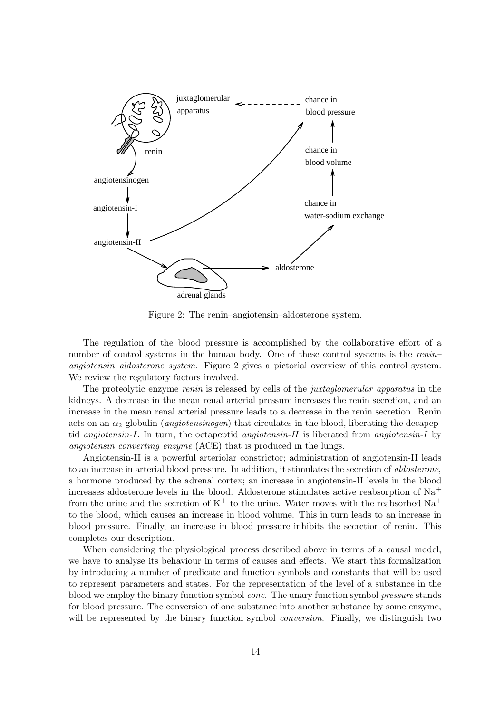

Figure 2: The renin–angiotensin–aldosterone system.

The regulation of the blood pressure is accomplished by the collaborative effort of a number of control systems in the human body. One of these control systems is the renin– angiotensin–aldosterone system. Figure 2 gives a pictorial overview of this control system. We review the regulatory factors involved.

The proteolytic enzyme renin is released by cells of the juxtaglomerular apparatus in the kidneys. A decrease in the mean renal arterial pressure increases the renin secretion, and an increase in the mean renal arterial pressure leads to a decrease in the renin secretion. Renin acts on an  $\alpha_2$ -globulin (*angiotensinogen*) that circulates in the blood, liberating the decapeptid angiotensin-I. In turn, the octapeptid angiotensin-II is liberated from angiotensin-I by angiotensin converting enzyme (ACE) that is produced in the lungs.

Angiotensin-II is a powerful arteriolar constrictor; administration of angiotensin-II leads to an increase in arterial blood pressure. In addition, it stimulates the secretion of aldosterone, a hormone produced by the adrenal cortex; an increase in angiotensin-II levels in the blood increases aldosterone levels in the blood. Aldosterone stimulates active reabsorption of  $Na<sup>+</sup>$ from the urine and the secretion of  $K^+$  to the urine. Water moves with the reabsorbed  $Na^+$ to the blood, which causes an increase in blood volume. This in turn leads to an increase in blood pressure. Finally, an increase in blood pressure inhibits the secretion of renin. This completes our description.

When considering the physiological process described above in terms of a causal model, we have to analyse its behaviour in terms of causes and effects. We start this formalization by introducing a number of predicate and function symbols and constants that will be used to represent parameters and states. For the representation of the level of a substance in the blood we employ the binary function symbol conc. The unary function symbol pressure stands for blood pressure. The conversion of one substance into another substance by some enzyme, will be represented by the binary function symbol *conversion*. Finally, we distinguish two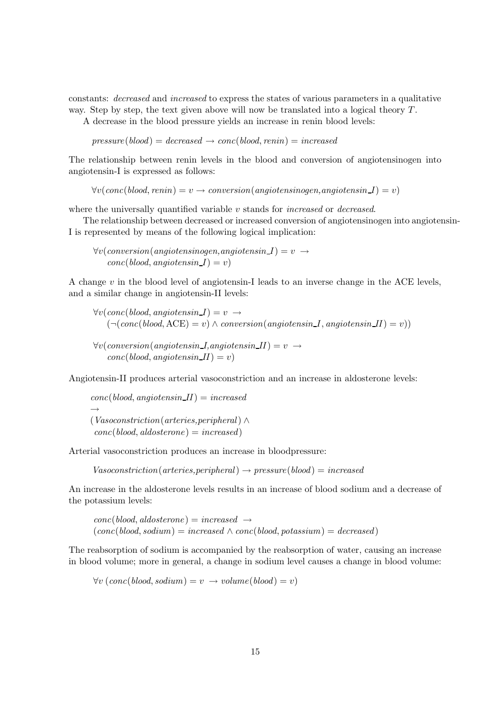constants: decreased and increased to express the states of various parameters in a qualitative way. Step by step, the text given above will now be translated into a logical theory  $T$ .

A decrease in the blood pressure yields an increase in renin blood levels:

 $pressure(blood) = decreased \rightarrow conc(blood, renin) = increased$ 

The relationship between renin levels in the blood and conversion of angiotensinogen into angiotensin-I is expressed as follows:

 $\forall v (conc(blood, renin) = v \rightarrow conversion (angiotension, angiotension I) = v)$ 

where the universally quantified variable  $v$  stands for *increased* or *decreased*.

The relationship between decreased or increased conversion of angiotensinogen into angiotensin-I is represented by means of the following logical implication:

 $\forall v (conversion (angiotension, angiotension I) = v \rightarrow$  $conc(blood, angiotensin I) = v)$ 

A change  $v$  in the blood level of angiotensin-I leads to an inverse change in the ACE levels, and a similar change in angiotensin-II levels:

 $\forall v (conc(blood, angiotensin I) = v \rightarrow$  $(\neg (conc(blood,ACE) = v) \wedge conversion(angiotensin I, angiotensin II) = v))$ 

 $\forall v (conversion (angiotensin I, angiotensin II) = v \rightarrow$  $conc(blood, anqiotensin II) = v$ 

Angiotensin-II produces arterial vasoconstriction and an increase in aldosterone levels:

 $conc(blood, angiotensin II) = increased$  $\rightarrow$ (Vasoconstriction(arteries,peripheral) ∧  $conc(blood, aldosterone) = increased)$ 

Arterial vasoconstriction produces an increase in bloodpressure:

 $Vasoconstruction(arteries,peripheral) \rightarrow pressure(blood) = increased$ 

An increase in the aldosterone levels results in an increase of blood sodium and a decrease of the potassium levels:

 $conc(blood, aldosterone) = increased \rightarrow$  $(conc(blood, sodium) = increased \wedge conc(blood, potassium) = decreased)$ 

The reabsorption of sodium is accompanied by the reabsorption of water, causing an increase in blood volume; more in general, a change in sodium level causes a change in blood volume:

 $\forall v \ (conc(blood, sodium) = v \rightarrow volume(blood) = v$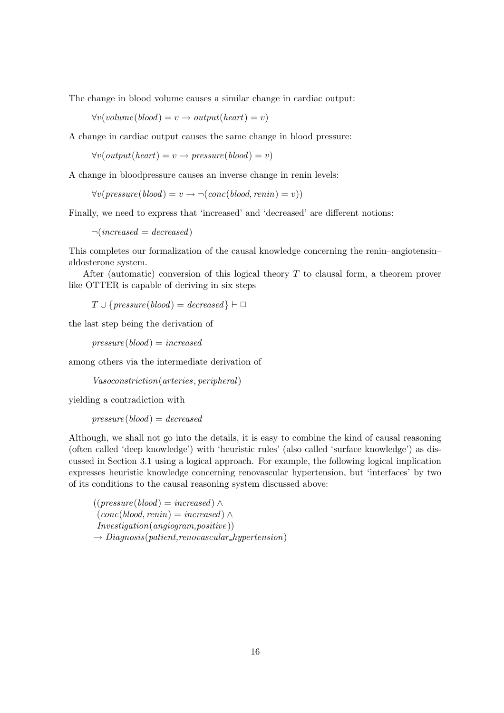The change in blood volume causes a similar change in cardiac output:

 $\forall v(volume(blood) = v \rightarrow output(head) = v)$ 

A change in cardiac output causes the same change in blood pressure:

 $\forall v(output(head) = v \rightarrow pressure(blood) = v)$ 

A change in bloodpressure causes an inverse change in renin levels:

 $\forall v(pressure(blood) = v \rightarrow \neg (conc(blood, renin) = v)$ 

Finally, we need to express that 'increased' and 'decreased' are different notions:

 $\neg(increased = decreased)$ 

This completes our formalization of the causal knowledge concerning the renin–angiotensin– aldosterone system.

After (automatic) conversion of this logical theory  $T$  to clausal form, a theorem prover like OTTER is capable of deriving in six steps

 $T \cup \{pressure(blood) = decreased\} \vdash \Box$ 

the last step being the derivation of

 $pressure(blood) = increased$ 

among others via the intermediate derivation of

Vasoconstriction(arteries, peripheral)

yielding a contradiction with

 $pressure(blood) = decreased$ 

Although, we shall not go into the details, it is easy to combine the kind of causal reasoning (often called 'deep knowledge') with 'heuristic rules' (also called 'surface knowledge') as discussed in Section 3.1 using a logical approach. For example, the following logical implication expresses heuristic knowledge concerning renovascular hypertension, but 'interfaces' by two of its conditions to the causal reasoning system discussed above:

 $((pressure(blood) = increased)$  ∧  $(conc(blood, renin) = increased) \wedge$ Investigation(angiogram,positive))  $\rightarrow$  Diagnosis(patient, renovascular hypertension)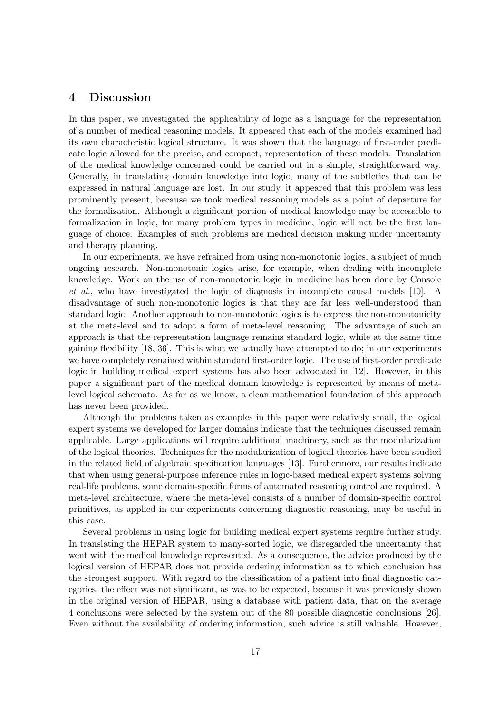### 4 Discussion

In this paper, we investigated the applicability of logic as a language for the representation of a number of medical reasoning models. It appeared that each of the models examined had its own characteristic logical structure. It was shown that the language of first-order predicate logic allowed for the precise, and compact, representation of these models. Translation of the medical knowledge concerned could be carried out in a simple, straightforward way. Generally, in translating domain knowledge into logic, many of the subtleties that can be expressed in natural language are lost. In our study, it appeared that this problem was less prominently present, because we took medical reasoning models as a point of departure for the formalization. Although a significant portion of medical knowledge may be accessible to formalization in logic, for many problem types in medicine, logic will not be the first language of choice. Examples of such problems are medical decision making under uncertainty and therapy planning.

In our experiments, we have refrained from using non-monotonic logics, a subject of much ongoing research. Non-monotonic logics arise, for example, when dealing with incomplete knowledge. Work on the use of non-monotonic logic in medicine has been done by Console et al., who have investigated the logic of diagnosis in incomplete causal models [10]. A disadvantage of such non-monotonic logics is that they are far less well-understood than standard logic. Another approach to non-monotonic logics is to express the non-monotonicity at the meta-level and to adopt a form of meta-level reasoning. The advantage of such an approach is that the representation language remains standard logic, while at the same time gaining flexibility [18, 36]. This is what we actually have attempted to do; in our experiments we have completely remained within standard first-order logic. The use of first-order predicate logic in building medical expert systems has also been advocated in [12]. However, in this paper a significant part of the medical domain knowledge is represented by means of metalevel logical schemata. As far as we know, a clean mathematical foundation of this approach has never been provided.

Although the problems taken as examples in this paper were relatively small, the logical expert systems we developed for larger domains indicate that the techniques discussed remain applicable. Large applications will require additional machinery, such as the modularization of the logical theories. Techniques for the modularization of logical theories have been studied in the related field of algebraic specification languages [13]. Furthermore, our results indicate that when using general-purpose inference rules in logic-based medical expert systems solving real-life problems, some domain-specific forms of automated reasoning control are required. A meta-level architecture, where the meta-level consists of a number of domain-specific control primitives, as applied in our experiments concerning diagnostic reasoning, may be useful in this case.

Several problems in using logic for building medical expert systems require further study. In translating the HEPAR system to many-sorted logic, we disregarded the uncertainty that went with the medical knowledge represented. As a consequence, the advice produced by the logical version of HEPAR does not provide ordering information as to which conclusion has the strongest support. With regard to the classification of a patient into final diagnostic categories, the effect was not significant, as was to be expected, because it was previously shown in the original version of HEPAR, using a database with patient data, that on the average 4 conclusions were selected by the system out of the 80 possible diagnostic conclusions [26]. Even without the availability of ordering information, such advice is still valuable. However,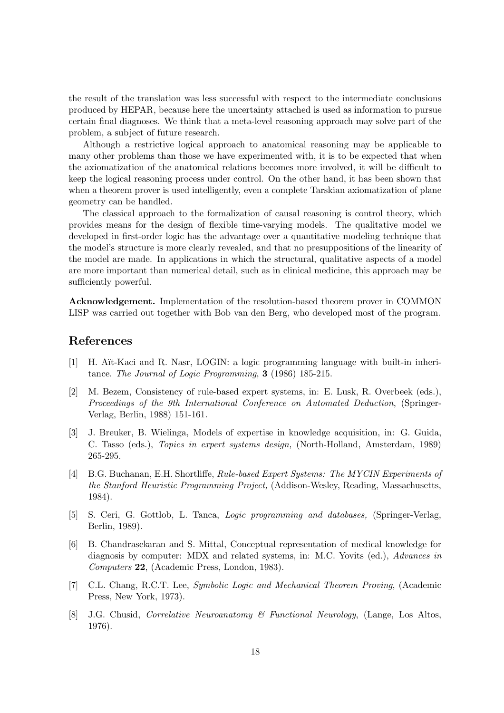the result of the translation was less successful with respect to the intermediate conclusions produced by HEPAR, because here the uncertainty attached is used as information to pursue certain final diagnoses. We think that a meta-level reasoning approach may solve part of the problem, a subject of future research.

Although a restrictive logical approach to anatomical reasoning may be applicable to many other problems than those we have experimented with, it is to be expected that when the axiomatization of the anatomical relations becomes more involved, it will be difficult to keep the logical reasoning process under control. On the other hand, it has been shown that when a theorem prover is used intelligently, even a complete Tarskian axiomatization of plane geometry can be handled.

The classical approach to the formalization of causal reasoning is control theory, which provides means for the design of flexible time-varying models. The qualitative model we developed in first-order logic has the advantage over a quantitative modeling technique that the model's structure is more clearly revealed, and that no presuppositions of the linearity of the model are made. In applications in which the structural, qualitative aspects of a model are more important than numerical detail, such as in clinical medicine, this approach may be sufficiently powerful.

Acknowledgement. Implementation of the resolution-based theorem prover in COMMON LISP was carried out together with Bob van den Berg, who developed most of the program.

### References

- [1] H. A¨ıt-Kaci and R. Nasr, LOGIN: a logic programming language with built-in inheritance. The Journal of Logic Programming, 3 (1986) 185-215.
- [2] M. Bezem, Consistency of rule-based expert systems, in: E. Lusk, R. Overbeek (eds.), Proceedings of the 9th International Conference on Automated Deduction, (Springer-Verlag, Berlin, 1988) 151-161.
- [3] J. Breuker, B. Wielinga, Models of expertise in knowledge acquisition, in: G. Guida, C. Tasso (eds.), Topics in expert systems design, (North-Holland, Amsterdam, 1989) 265-295.
- [4] B.G. Buchanan, E.H. Shortliffe, Rule-based Expert Systems: The MYCIN Experiments of the Stanford Heuristic Programming Project, (Addison-Wesley, Reading, Massachusetts, 1984).
- [5] S. Ceri, G. Gottlob, L. Tanca, Logic programming and databases, (Springer-Verlag, Berlin, 1989).
- [6] B. Chandrasekaran and S. Mittal, Conceptual representation of medical knowledge for diagnosis by computer: MDX and related systems, in: M.C. Yovits (ed.), Advances in Computers 22, (Academic Press, London, 1983).
- [7] C.L. Chang, R.C.T. Lee, Symbolic Logic and Mechanical Theorem Proving, (Academic Press, New York, 1973).
- [8] J.G. Chusid, Correlative Neuroanatomy & Functional Neurology, (Lange, Los Altos, 1976).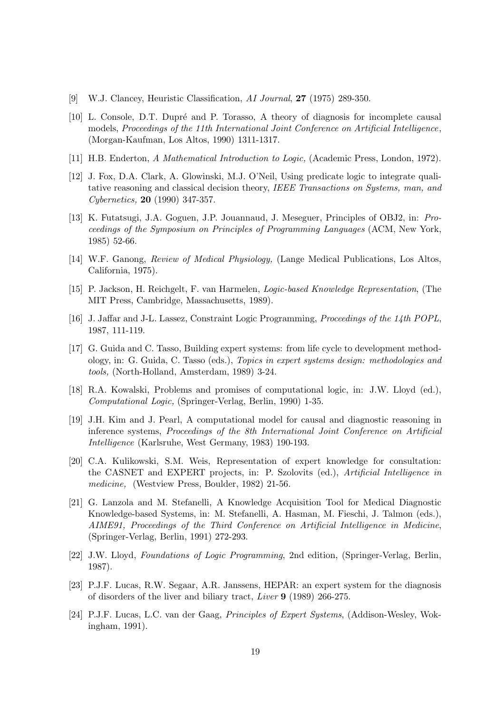- [9] W.J. Clancey, Heuristic Classification, AI Journal, 27 (1975) 289-350.
- [10] L. Console, D.T. Dupré and P. Torasso, A theory of diagnosis for incomplete causal models, Proceedings of the 11th International Joint Conference on Artificial Intelligence, (Morgan-Kaufman, Los Altos, 1990) 1311-1317.
- [11] H.B. Enderton, A Mathematical Introduction to Logic, (Academic Press, London, 1972).
- [12] J. Fox, D.A. Clark, A. Glowinski, M.J. O'Neil, Using predicate logic to integrate qualitative reasoning and classical decision theory, IEEE Transactions on Systems, man, and Cybernetics, 20 (1990) 347-357.
- [13] K. Futatsugi, J.A. Goguen, J.P. Jouannaud, J. Meseguer, Principles of OBJ2, in: Proceedings of the Symposium on Principles of Programming Languages (ACM, New York, 1985) 52-66.
- [14] W.F. Ganong, Review of Medical Physiology, (Lange Medical Publications, Los Altos, California, 1975).
- [15] P. Jackson, H. Reichgelt, F. van Harmelen, Logic-based Knowledge Representation, (The MIT Press, Cambridge, Massachusetts, 1989).
- [16] J. Jaffar and J-L. Lassez, Constraint Logic Programming, Proceedings of the 14th POPL, 1987, 111-119.
- [17] G. Guida and C. Tasso, Building expert systems: from life cycle to development methodology, in: G. Guida, C. Tasso (eds.), Topics in expert systems design: methodologies and tools, (North-Holland, Amsterdam, 1989) 3-24.
- [18] R.A. Kowalski, Problems and promises of computational logic, in: J.W. Lloyd (ed.), Computational Logic, (Springer-Verlag, Berlin, 1990) 1-35.
- [19] J.H. Kim and J. Pearl, A computational model for causal and diagnostic reasoning in inference systems, Proceedings of the 8th International Joint Conference on Artificial Intelligence (Karlsruhe, West Germany, 1983) 190-193.
- [20] C.A. Kulikowski, S.M. Weis, Representation of expert knowledge for consultation: the CASNET and EXPERT projects, in: P. Szolovits (ed.), Artificial Intelligence in medicine, (Westview Press, Boulder, 1982) 21-56.
- [21] G. Lanzola and M. Stefanelli, A Knowledge Acquisition Tool for Medical Diagnostic Knowledge-based Systems, in: M. Stefanelli, A. Hasman, M. Fieschi, J. Talmon (eds.), AIME91, Proceedings of the Third Conference on Artificial Intelligence in Medicine, (Springer-Verlag, Berlin, 1991) 272-293.
- [22] J.W. Lloyd, Foundations of Logic Programming, 2nd edition, (Springer-Verlag, Berlin, 1987).
- [23] P.J.F. Lucas, R.W. Segaar, A.R. Janssens, HEPAR: an expert system for the diagnosis of disorders of the liver and biliary tract, Liver 9 (1989) 266-275.
- [24] P.J.F. Lucas, L.C. van der Gaag, Principles of Expert Systems, (Addison-Wesley, Wokingham, 1991).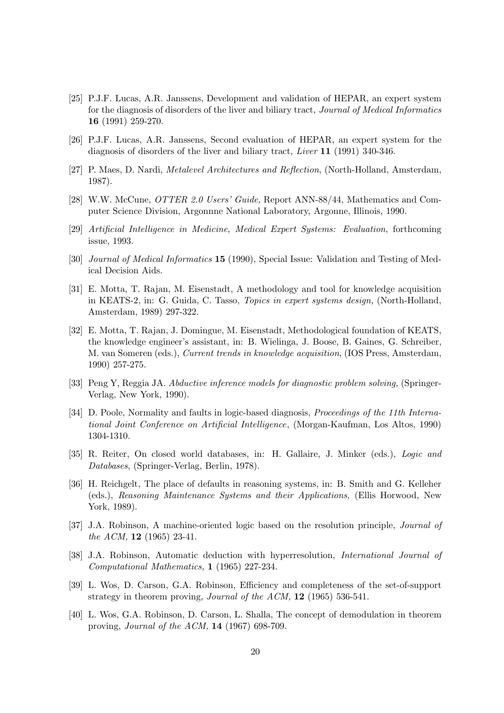- [25] P.J.F. Lucas, A.R. Janssens, Development and validation of HEPAR, an expert system for the diagnosis of disorders of the liver and biliary tract, Journal of Medical Informatics 16 (1991) 259-270.
- [26] P.J.F. Lucas, A.R. Janssens, Second evaluation of HEPAR, an expert system for the diagnosis of disorders of the liver and biliary tract, Liver 11 (1991) 340-346.
- [27] P. Maes, D. Nardi, Metalevel Architectures and Reflection, (North-Holland, Amsterdam, 1987).
- [28] W.W. McCune, OTTER 2.0 Users' Guide, Report ANN-88/44, Mathematics and Computer Science Division, Argonnne National Laboratory, Argonne, Illinois, 1990.
- [29] Artificial Intelligence in Medicine, Medical Expert Systems: Evaluation, forthcoming issue, 1993.
- [30] Journal of Medical Informatics 15 (1990), Special Issue: Validation and Testing of Medical Decision Aids.
- [31] E. Motta, T. Rajan, M. Eisenstadt, A methodology and tool for knowledge acquisition in KEATS-2, in: G. Guida, C. Tasso, Topics in expert systems design, (North-Holland, Amsterdam, 1989) 297-322.
- [32] E. Motta, T. Rajan, J. Domingue, M. Eisenstadt, Methodological foundation of KEATS, the knowledge engineer's assistant, in: B. Wielinga, J. Boose, B. Gaines, G. Schreiber, M. van Someren (eds.), Current trends in knowledge acquisition, (IOS Press, Amsterdam, 1990) 257-275.
- [33] Peng Y, Reggia JA. Abductive inference models for diagnostic problem solving, (Springer-Verlag, New York, 1990).
- [34] D. Poole, Normality and faults in logic-based diagnosis, *Proceedings of the 11th Interna*tional Joint Conference on Artificial Intelligence, (Morgan-Kaufman, Los Altos, 1990) 1304-1310.
- [35] R. Reiter, On closed world databases, in: H. Gallaire, J. Minker (eds.), Logic and Databases, (Springer-Verlag, Berlin, 1978).
- [36] H. Reichgelt, The place of defaults in reasoning systems, in: B. Smith and G. Kelleher (eds.), Reasoning Maintenance Systems and their Applications, (Ellis Horwood, New York, 1989).
- [37] J.A. Robinson, A machine-oriented logic based on the resolution principle, Journal of the ACM, 12 (1965) 23-41.
- [38] J.A. Robinson, Automatic deduction with hyperresolution, International Journal of Computational Mathematics, 1 (1965) 227-234.
- [39] L. Wos, D. Carson, G.A. Robinson, Efficiency and completeness of the set-of-support strategy in theorem proving, Journal of the ACM, 12 (1965) 536-541.
- [40] L. Wos, G.A. Robinson, D. Carson, L. Shalla, The concept of demodulation in theorem proving, Journal of the ACM, 14 (1967) 698-709.